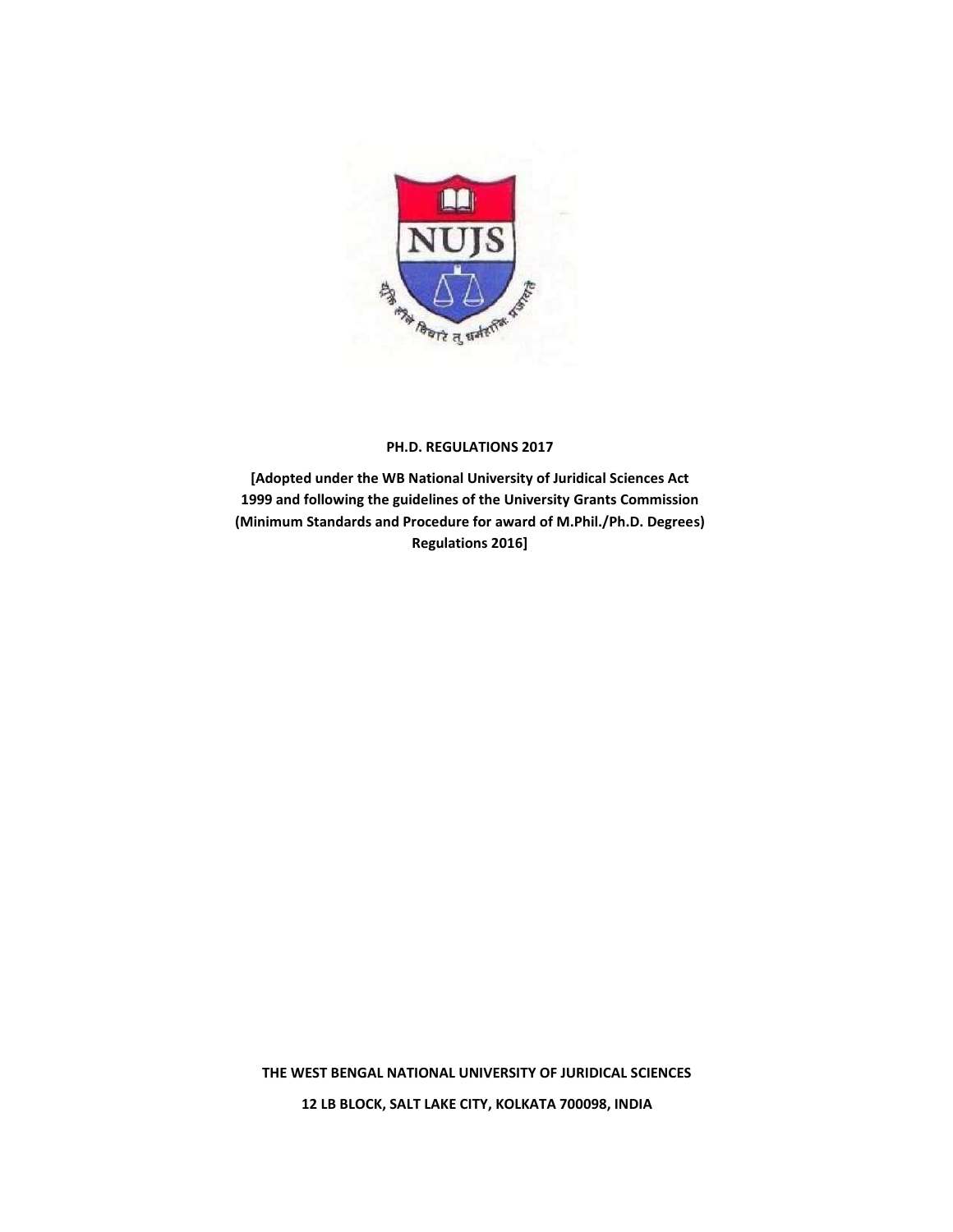

### **PH.D. REGULATIONS 2017**

**[Adopted under the WB National University of Juridical Sciences Act 1999 and following the guidelines of the University Grants Commission (Minimum Standards and Procedure for award of M.Phil./Ph.D. Degrees) Regulations 2016]**

**THE WEST BENGAL NATIONAL UNIVERSITY OF JURIDICAL SCIENCES 12 LB BLOCK, SALT LAKE CITY, KOLKATA 700098, INDIA**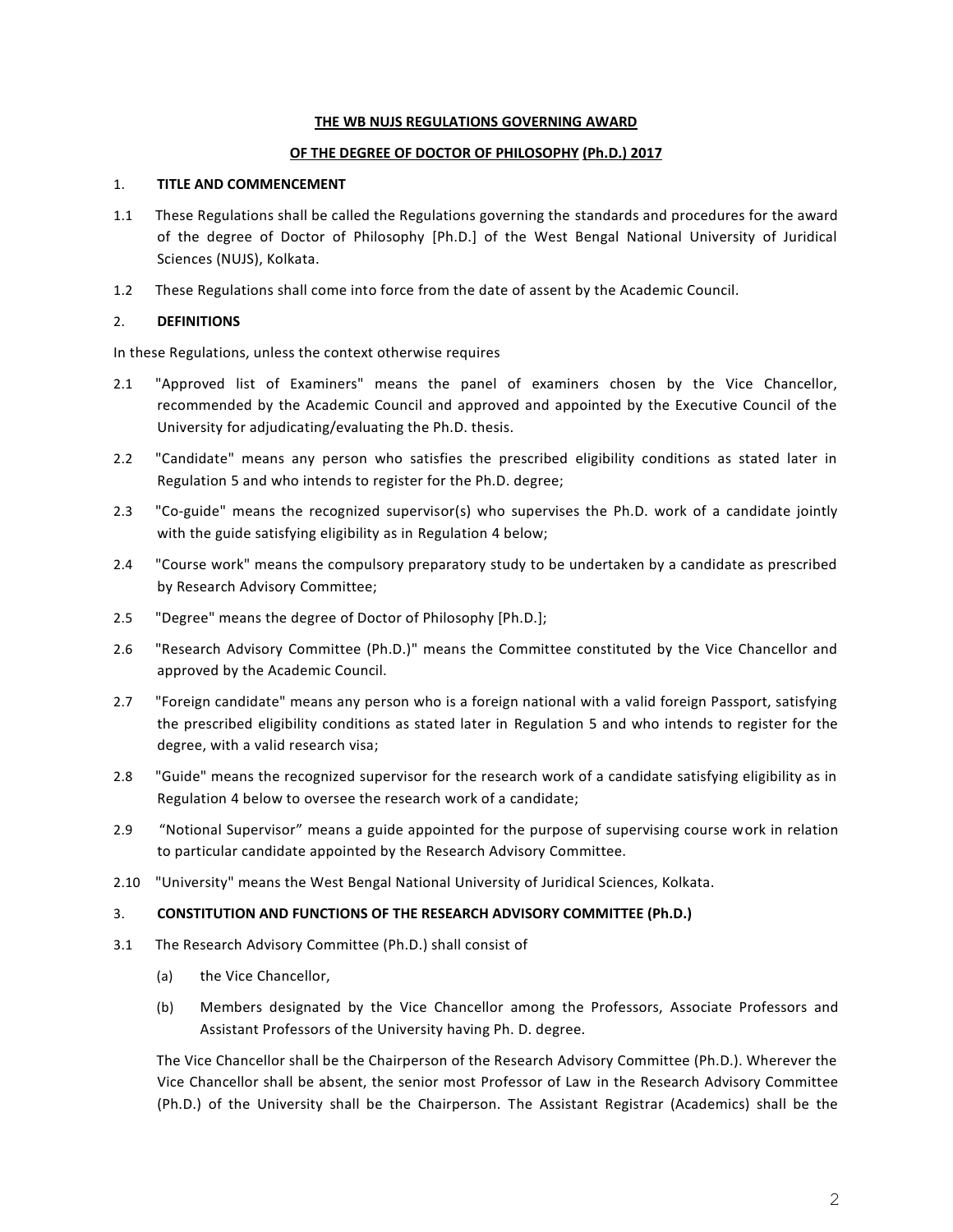### **THE WB NUJS REGULATIONS GOVERNING AWARD**

### **OF THE DEGREE OF DOCTOR OF PHILOSOPHY (Ph.D.) 2017**

### 1. **TITLE AND COMMENCEMENT**

- 1.1 These Regulations shall be called the Regulations governing the standards and procedures for the award of the degree of Doctor of Philosophy [Ph.D.] of the West Bengal National University of Juridical Sciences (NUJS), Kolkata.
- 1.2 These Regulations shall come into force from the date of assent by the Academic Council.

# 2. **DEFINITIONS**

In these Regulations, unless the context otherwise requires

- 2.1 "Approved list of Examiners" means the panel of examiners chosen by the Vice Chancellor, recommended by the Academic Council and approved and appointed by the Executive Council of the University for adjudicating/evaluating the Ph.D. thesis.
- 2.2 "Candidate" means any person who satisfies the prescribed eligibility conditions as stated later in Regulation 5 and who intends to register for the Ph.D. degree;
- 2.3 "Co-guide" means the recognized supervisor(s) who supervises the Ph.D. work of a candidate jointly with the guide satisfying eligibility as in Regulation 4 below;
- 2.4 "Course work" means the compulsory preparatory study to be undertaken by a candidate as prescribed by Research Advisory Committee;
- 2.5 "Degree" means the degree of Doctor of Philosophy [Ph.D.];
- 2.6 "Research Advisory Committee (Ph.D.)" means the Committee constituted by the Vice Chancellor and approved by the Academic Council.
- 2.7 "Foreign candidate" means any person who is a foreign national with a valid foreign Passport, satisfying the prescribed eligibility conditions as stated later in Regulation 5 and who intends to register for the degree, with a valid research visa;
- 2.8 "Guide" means the recognized supervisor for the research work of a candidate satisfying eligibility as in Regulation 4 below to oversee the research work of a candidate;
- 2.9 "Notional Supervisor" means a guide appointed for the purpose of supervising course work in relation to particular candidate appointed by the Research Advisory Committee.
- 2.10 "University" means the West Bengal National University of Juridical Sciences, Kolkata.

## 3. **CONSTITUTION AND FUNCTIONS OF THE RESEARCH ADVISORY COMMITTEE (Ph.D.)**

- 3.1 The Research Advisory Committee (Ph.D.) shall consist of
	- (a) the Vice Chancellor,
	- (b) Members designated by the Vice Chancellor among the Professors, Associate Professors and Assistant Professors of the University having Ph. D. degree.

The Vice Chancellor shall be the Chairperson of the Research Advisory Committee (Ph.D.). Wherever the Vice Chancellor shall be absent, the senior most Professor of Law in the Research Advisory Committee (Ph.D.) of the University shall be the Chairperson. The Assistant Registrar (Academics) shall be the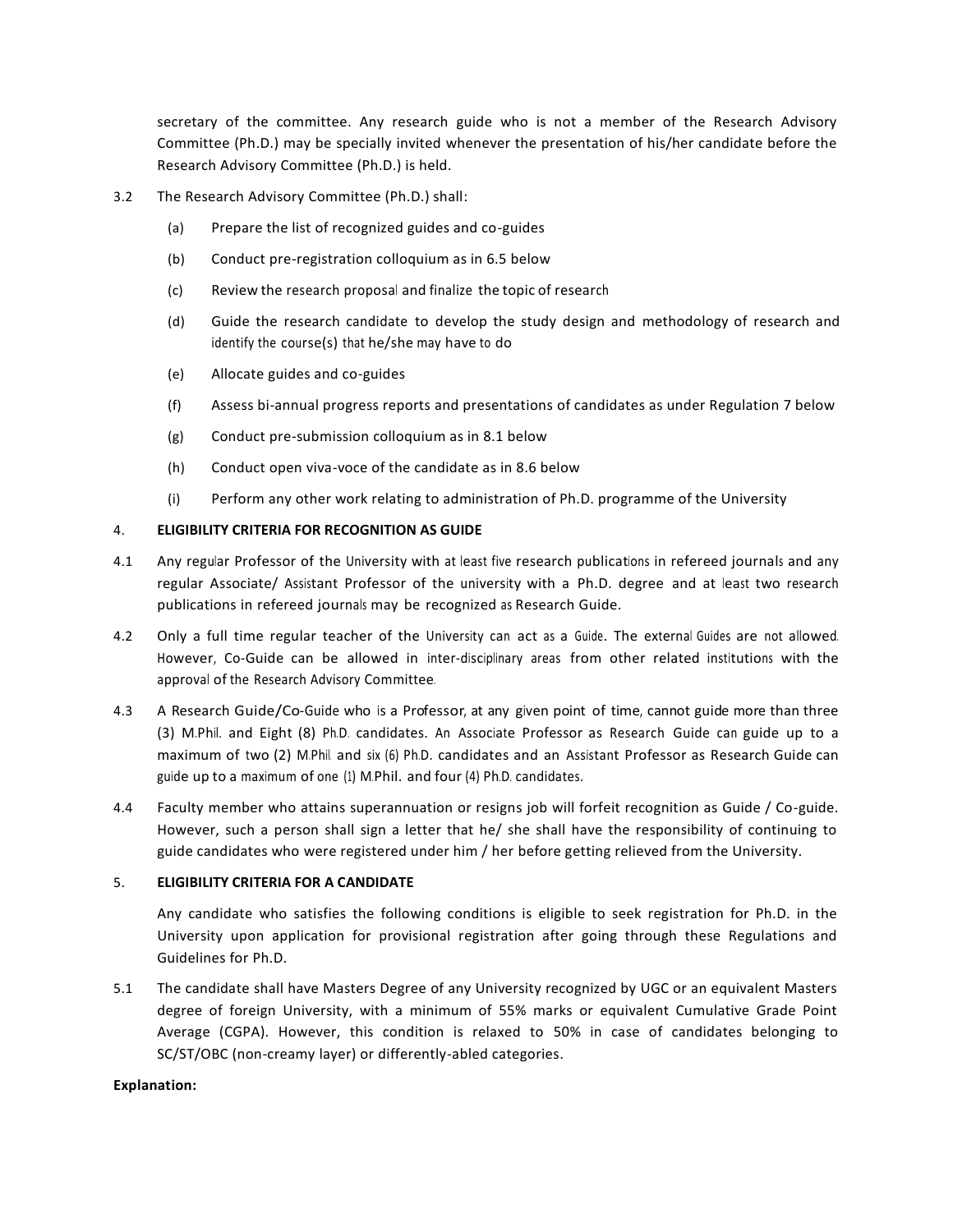secretary of the committee. Any research guide who is not a member of the Research Advisory Committee (Ph.D.) may be specially invited whenever the presentation of his/her candidate before the Research Advisory Committee (Ph.D.) is held.

- 3.2 The Research Advisory Committee (Ph.D.) shall:
	- (a) Prepare the list of recognized guides and co-guides
	- (b) Conduct pre-registration colloquium as in 6.5 below
	- (c) Review the research proposal and finalize the topic of research
	- (d) Guide the research candidate to develop the study design and methodology of research and identify the course(s) that he/she may have to do
	- (e) Allocate guides and co-guides
	- (f) Assess bi-annual progress reports and presentations of candidates as under Regulation 7 below
	- (g) Conduct pre-submission colloquium as in 8.1 below
	- (h) Conduct open viva-voce of the candidate as in 8.6 below
	- (i) Perform any other work relating to administration of Ph.D. programme of the University

### 4. **ELIGIBILITY CRITERIA FOR RECOGNITION AS GUIDE**

- 4.1 Any regular Professor of the University with at least five research publications in refereed journals and any regular Associate/ Assistant Professor of the university with a Ph.D. degree and at least two research publications in refereed journals may be recognized as Research Guide.
- 4.2 Only a full time regular teacher of the University can act as a Guide. The external Guides are not allowed. However, Co-Guide can be allowed in inter-disciplinary areas from other related institutions with the approval of the Research Advisory Committee.
- 4.3 A Research Guide/Co-Guide who is a Professor, at any given point of time, cannot guide more than three (3) M.Phil. and Eight (8) Ph.D. candidates. An Associate Professor as Research Guide can guide up to a maximum of two (2) M.Phil. and six (6) Ph.D. candidates and an Assistant Professor as Research Guide can guide up to a maximum of one (1) M.Phil. and four (4) Ph.D. candidates.
- 4.4 Faculty member who attains superannuation or resigns job will forfeit recognition as Guide / Co-guide. However, such a person shall sign a letter that he/ she shall have the responsibility of continuing to guide candidates who were registered under him / her before getting relieved from the University.

#### 5. **ELIGIBILITY CRITERIA FOR A CANDIDATE**

Any candidate who satisfies the following conditions is eligible to seek registration for Ph.D. in the University upon application for provisional registration after going through these Regulations and Guidelines for Ph.D.

5.1 The candidate shall have Masters Degree of any University recognized by UGC or an equivalent Masters degree of foreign University, with a minimum of 55% marks or equivalent Cumulative Grade Point Average (CGPA). However, this condition is relaxed to 50% in case of candidates belonging to SC/ST/OBC (non-creamy layer) or differently-abled categories.

#### **Explanation:**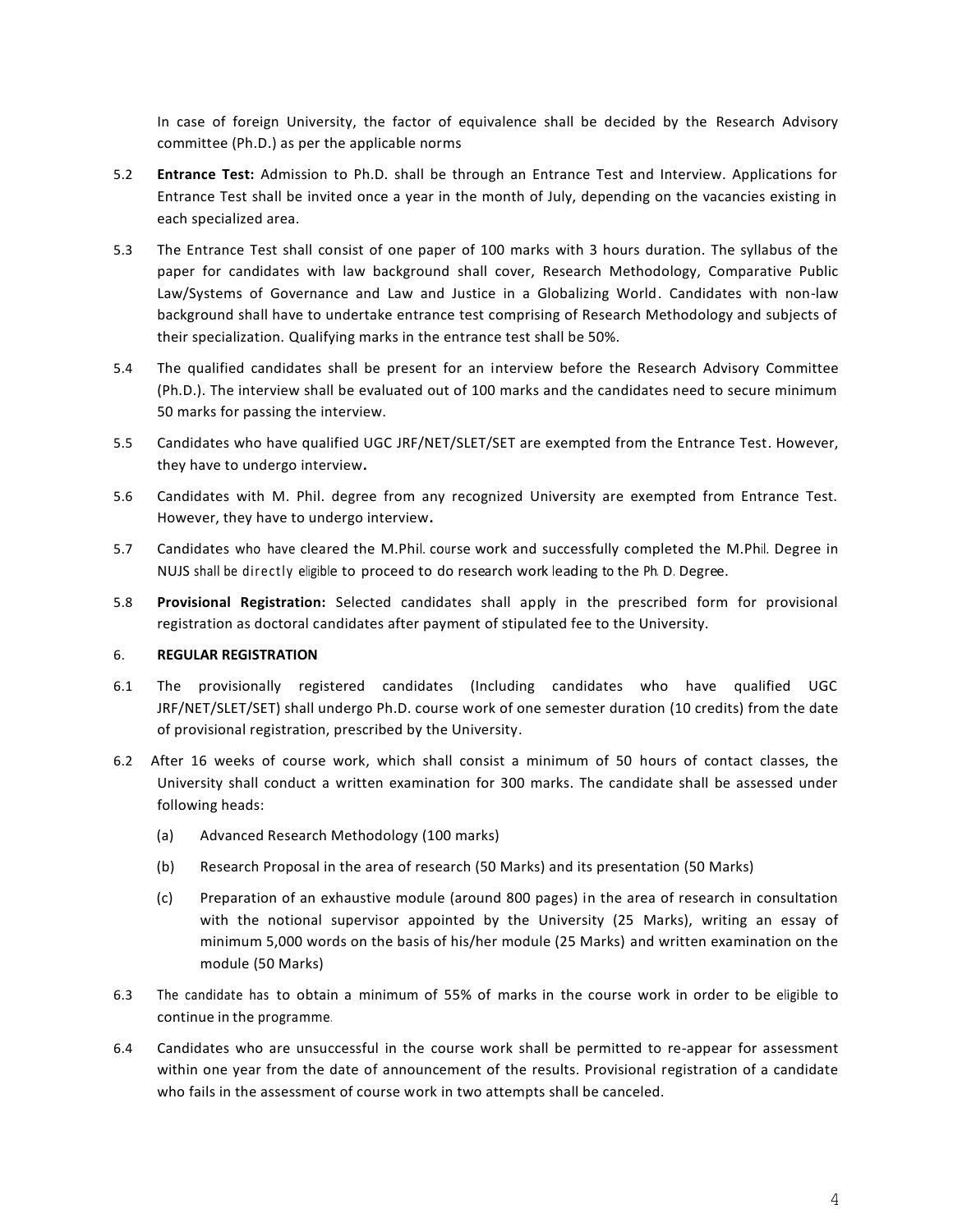In case of foreign University, the factor of equivalence shall be decided by the Research Advisory committee (Ph.D.) as per the applicable norms

- 5.2 **Entrance Test:** Admission to Ph.D. shall be through an Entrance Test and Interview. Applications for Entrance Test shall be invited once a year in the month of July, depending on the vacancies existing in each specialized area.
- 5.3 The Entrance Test shall consist of one paper of 100 marks with 3 hours duration. The syllabus of the paper for candidates with law background shall cover, Research Methodology, Comparative Public Law/Systems of Governance and Law and Justice in a Globalizing World. Candidates with non-law background shall have to undertake entrance test comprising of Research Methodology and subjects of their specialization. Qualifying marks in the entrance test shall be 50%.
- 5.4 The qualified candidates shall be present for an interview before the Research Advisory Committee (Ph.D.). The interview shall be evaluated out of 100 marks and the candidates need to secure minimum 50 marks for passing the interview.
- 5.5 Candidates who have qualified UGC JRF/NET/SLET/SET are exempted from the Entrance Test. However, they have to undergo interview**.**
- 5.6 Candidates with M. Phil. degree from any recognized University are exempted from Entrance Test. However, they have to undergo interview**.**
- 5.7 Candidates who have cleared the M.Phil. course work and successfully completed the M.Phil. Degree in NUJS shall be directly eligible to proceed to do research work leading to the Ph. D. Degree.
- 5.8 **Provisional Registration:** Selected candidates shall apply in the prescribed form for provisional registration as doctoral candidates after payment of stipulated fee to the University.

## 6. **REGULAR REGISTRATION**

- 6.1 The provisionally registered candidates (Including candidates who have qualified UGC JRF/NET/SLET/SET) shall undergo Ph.D. course work of one semester duration (10 credits) from the date of provisional registration, prescribed by the University.
- 6.2 After 16 weeks of course work, which shall consist a minimum of 50 hours of contact classes, the University shall conduct a written examination for 300 marks. The candidate shall be assessed under following heads:
	- (a) Advanced Research Methodology (100 marks)
	- (b) Research Proposal in the area of research (50 Marks) and its presentation (50 Marks)
	- (c) Preparation of an exhaustive module (around 800 pages) in the area of research in consultation with the notional supervisor appointed by the University (25 Marks), writing an essay of minimum 5,000 words on the basis of his/her module (25 Marks) and written examination on the module (50 Marks)
- 6.3 The candidate has to obtain a minimum of 55% of marks in the course work in order to be eligible to continue in the programme.
- 6.4 Candidates who are unsuccessful in the course work shall be permitted to re-appear for assessment within one year from the date of announcement of the results. Provisional registration of a candidate who fails in the assessment of course work in two attempts shall be canceled.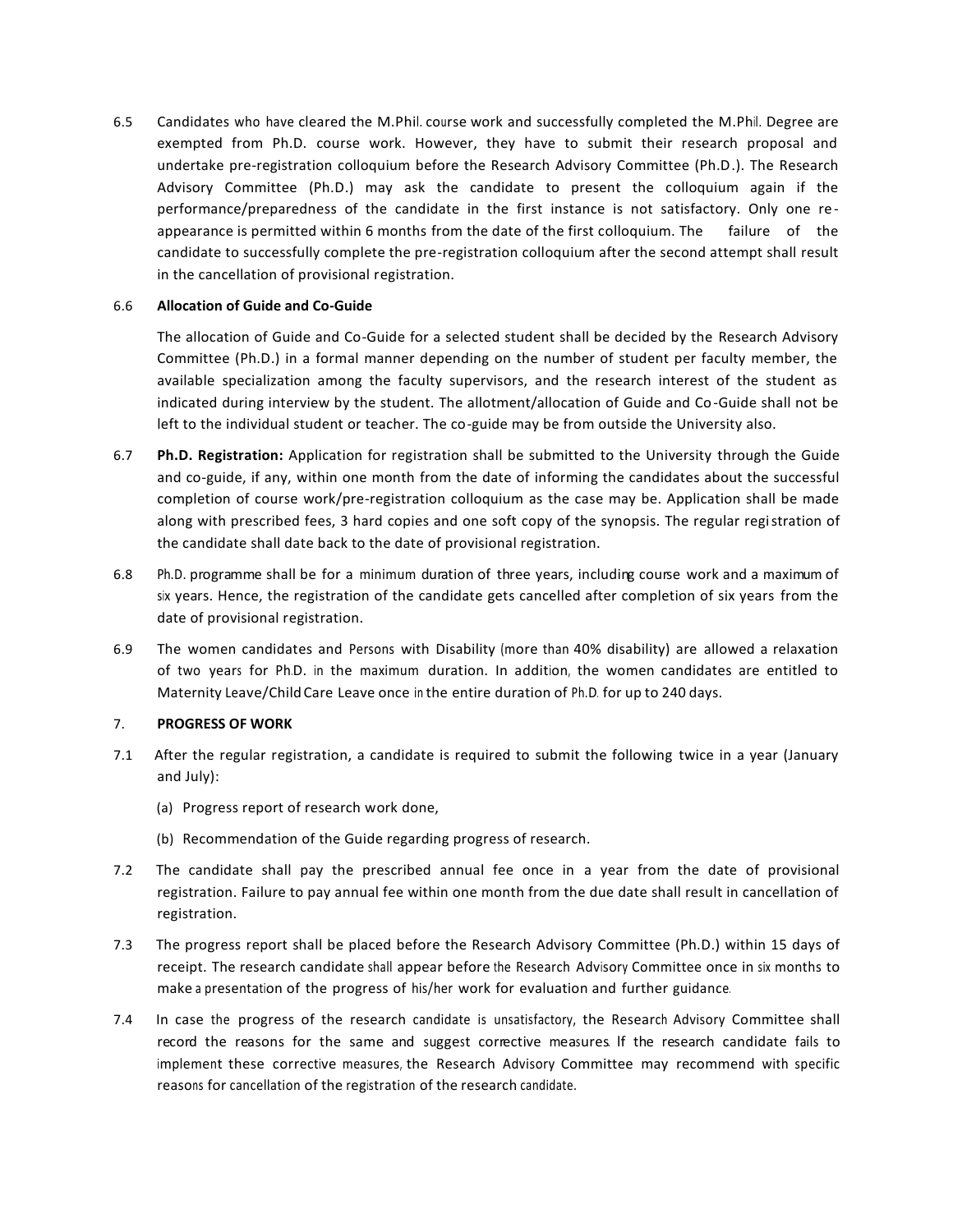6.5 Candidates who have cleared the M.Phil. course work and successfully completed the M.Phil. Degree are exempted from Ph.D. course work. However, they have to submit their research proposal and undertake pre-registration colloquium before the Research Advisory Committee (Ph.D.). The Research Advisory Committee (Ph.D.) may ask the candidate to present the colloquium again if the performance/preparedness of the candidate in the first instance is not satisfactory. Only one re appearance is permitted within 6 months from the date of the first colloquium. The failure of the candidate to successfully complete the pre-registration colloquium after the second attempt shall result in the cancellation of provisional registration.

#### 6.6 **Allocation of Guide and Co-Guide**

The allocation of Guide and Co-Guide for a selected student shall be decided by the Research Advisory Committee (Ph.D.) in a formal manner depending on the number of student per faculty member, the available specialization among the faculty supervisors, and the research interest of the student as indicated during interview by the student. The allotment/allocation of Guide and Co-Guide shall not be left to the individual student or teacher. The co-guide may be from outside the University also.

- 6.7 **Ph.D. Registration:** Application for registration shall be submitted to the University through the Guide and co-guide, if any, within one month from the date of informing the candidates about the successful completion of course work/pre-registration colloquium as the case may be. Application shall be made along with prescribed fees, 3 hard copies and one soft copy of the synopsis. The regular registration of the candidate shall date back to the date of provisional registration.
- 6.8 Ph.D. programme shall be for a minimum duration of three years, including course work and a maximum of six years. Hence, the registration of the candidate gets cancelled after completion of six years from the date of provisional registration.
- 6.9 The women candidates and Persons with Disability (more than 40% disability) are allowed a relaxation of two years for Ph.D. in the maximum duration. In addition, the women candidates are entitled to Maternity Leave/Child Care Leave once in the entire duration of Ph.D. for up to 240 days.

## 7. **PROGRESS OF WORK**

- 7.1 After the regular registration, a candidate is required to submit the following twice in a year (January and July):
	- (a) Progress report of research work done,
	- (b) Recommendation of the Guide regarding progress of research.
- 7.2 The candidate shall pay the prescribed annual fee once in a year from the date of provisional registration. Failure to pay annual fee within one month from the due date shall result in cancellation of registration.
- 7.3 The progress report shall be placed before the Research Advisory Committee (Ph.D.) within 15 days of receipt. The research candidate shall appear before the Research Advisory Committee once in six months to make a presentation of the progress of his/her work for evaluation and further guidance.
- 7.4 In case the progress of the research candidate is unsatisfactory, the Research Advisory Committee shall record the reasons for the same and suggest corrective measures. lf the research candidate fails to implement these corrective measures, the Research Advisory Committee may recommend with specific reasons for cancellation of the registration of the research candidate.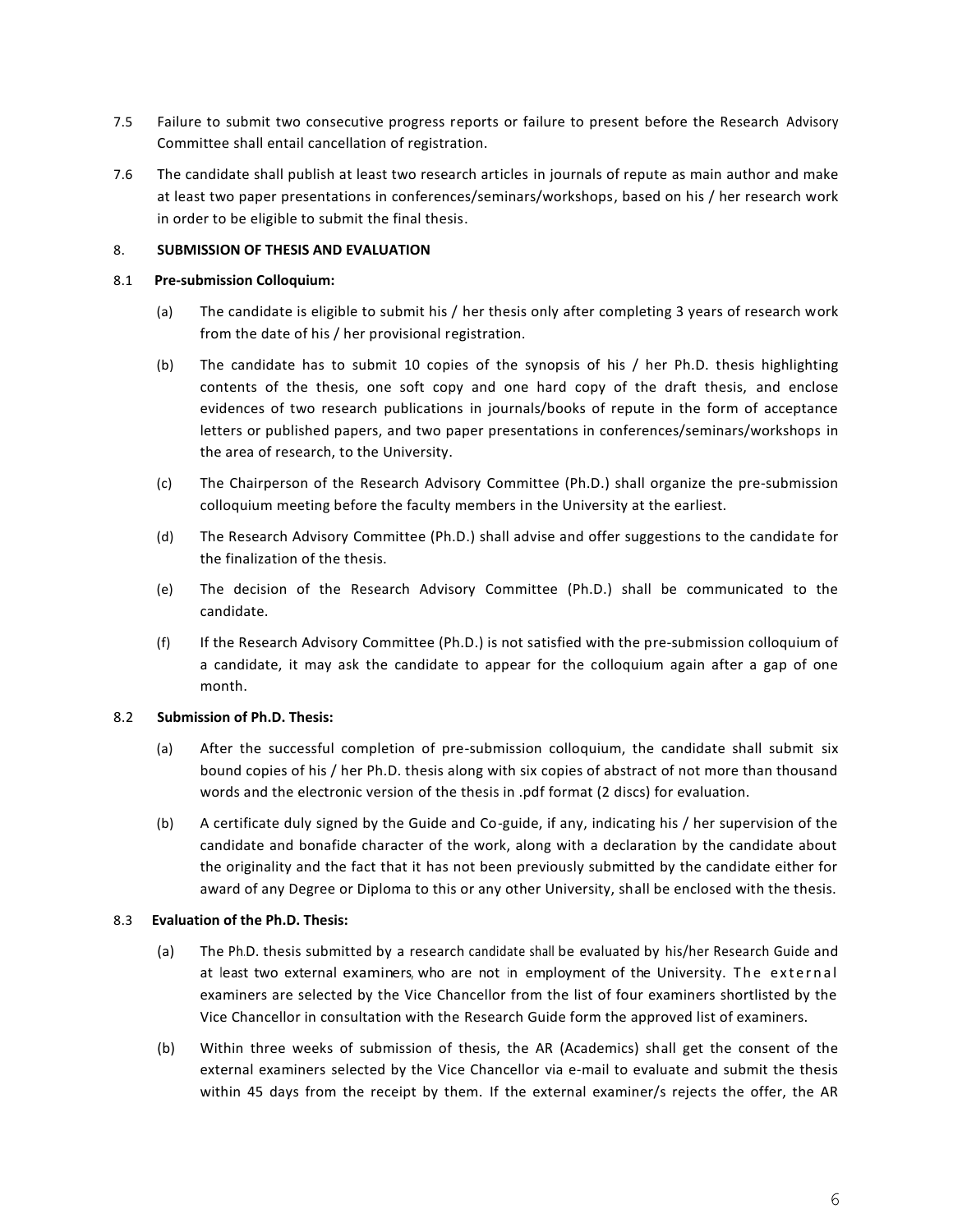- 7.5 Failure to submit two consecutive progress reports or failure to present before the Research Advisory Committee shall entail cancellation of registration.
- 7.6 The candidate shall publish at least two research articles in journals of repute as main author and make at least two paper presentations in conferences/seminars/workshops, based on his / her research work in order to be eligible to submit the final thesis.

## 8. **SUBMISSION OF THESIS AND EVALUATION**

#### 8.1 **Pre-submission Colloquium:**

- (a) The candidate is eligible to submit his / her thesis only after completing 3 years of research work from the date of his / her provisional registration.
- (b) The candidate has to submit 10 copies of the synopsis of his / her Ph.D. thesis highlighting contents of the thesis, one soft copy and one hard copy of the draft thesis, and enclose evidences of two research publications in journals/books of repute in the form of acceptance letters or published papers, and two paper presentations in conferences/seminars/workshops in the area of research, to the University.
- (c) The Chairperson of the Research Advisory Committee (Ph.D.) shall organize the pre-submission colloquium meeting before the faculty members in the University at the earliest.
- (d) The Research Advisory Committee (Ph.D.) shall advise and offer suggestions to the candidate for the finalization of the thesis.
- (e) The decision of the Research Advisory Committee (Ph.D.) shall be communicated to the candidate.
- (f) If the Research Advisory Committee (Ph.D.) is not satisfied with the pre-submission colloquium of a candidate, it may ask the candidate to appear for the colloquium again after a gap of one month.

## 8.2 **Submission of Ph.D. Thesis:**

- (a) After the successful completion of pre-submission colloquium, the candidate shall submit six bound copies of his / her Ph.D. thesis along with six copies of abstract of not more than thousand words and the electronic version of the thesis in .pdf format (2 discs) for evaluation.
- (b) A certificate duly signed by the Guide and Co-guide, if any, indicating his / her supervision of the candidate and bonafide character of the work, along with a declaration by the candidate about the originality and the fact that it has not been previously submitted by the candidate either for award of any Degree or Diploma to this or any other University, shall be enclosed with the thesis.

## 8.3 **Evaluation of the Ph.D. Thesis:**

- (a) The Ph.D. thesis submitted by a research candidate shall be evaluated by his/her Research Guide and at least two external examiners, who are not in employment of the University. The external examiners are selected by the Vice Chancellor from the list of four examiners shortlisted by the Vice Chancellor in consultation with the Research Guide form the approved list of examiners.
- (b) Within three weeks of submission of thesis, the AR (Academics) shall get the consent of the external examiners selected by the Vice Chancellor via e-mail to evaluate and submit the thesis within 45 days from the receipt by them. If the external examiner/s rejects the offer, the AR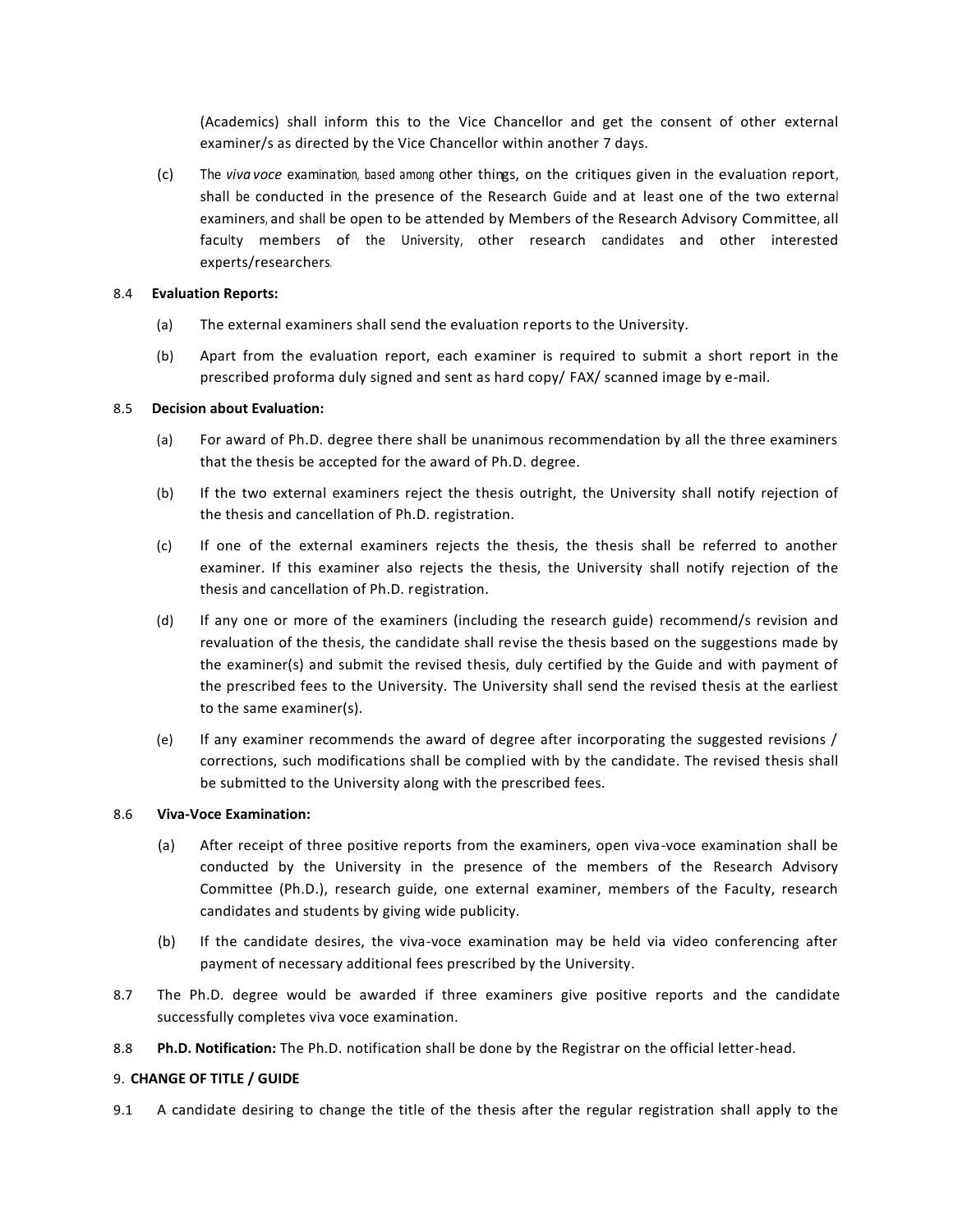(Academics) shall inform this to the Vice Chancellor and get the consent of other external examiner/s as directed by the Vice Chancellor within another 7 days.

(c) The *viva voce* examination, based among other things, on the critiques given in the evaluation report, shall be conducted in the presence of the Research Guide and at least one of the two external examiners, and shall be open to be attended by Members of the Research Advisory Committee, all faculty members of the University, other research candidates and other interested experts/researchers.

### 8.4 **Evaluation Reports:**

- (a) The external examiners shall send the evaluation reports to the University.
- (b) Apart from the evaluation report, each examiner is required to submit a short report in the prescribed proforma duly signed and sent as hard copy/ FAX/ scanned image by e-mail.

### 8.5 **Decision about Evaluation:**

- (a) For award of Ph.D. degree there shall be unanimous recommendation by all the three examiners that the thesis be accepted for the award of Ph.D. degree.
- (b) If the two external examiners reject the thesis outright, the University shall notify rejection of the thesis and cancellation of Ph.D. registration.
- (c) If one of the external examiners rejects the thesis, the thesis shall be referred to another examiner. If this examiner also rejects the thesis, the University shall notify rejection of the thesis and cancellation of Ph.D. registration.
- (d) If any one or more of the examiners (including the research guide) recommend/s revision and revaluation of the thesis, the candidate shall revise the thesis based on the suggestions made by the examiner(s) and submit the revised thesis, duly certified by the Guide and with payment of the prescribed fees to the University. The University shall send the revised thesis at the earliest to the same examiner(s).
- (e) If any examiner recommends the award of degree after incorporating the suggested revisions / corrections, such modifications shall be complied with by the candidate. The revised thesis shall be submitted to the University along with the prescribed fees.

#### 8.6 **Viva-Voce Examination:**

- (a) After receipt of three positive reports from the examiners, open viva-voce examination shall be conducted by the University in the presence of the members of the Research Advisory Committee (Ph.D.), research guide, one external examiner, members of the Faculty, research candidates and students by giving wide publicity.
- (b) If the candidate desires, the viva-voce examination may be held via video conferencing after payment of necessary additional fees prescribed by the University.
- 8.7 The Ph.D. degree would be awarded if three examiners give positive reports and the candidate successfully completes viva voce examination.
- 8.8 **Ph.D. Notification:** The Ph.D. notification shall be done by the Registrar on the official letter-head.

#### 9. **CHANGE OF TITLE / GUIDE**

9.1 A candidate desiring to change the title of the thesis after the regular registration shall apply to the